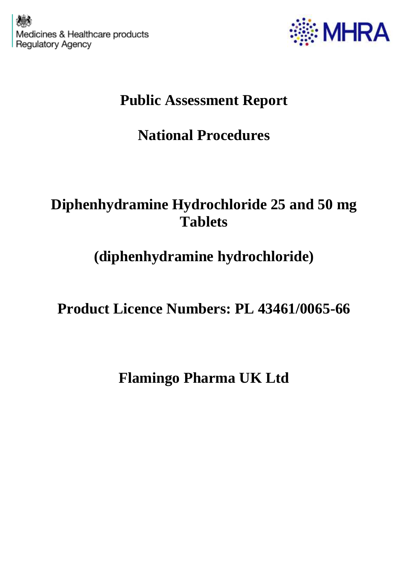

## **Public Assessment Report**

# **National Procedures**

### **Diphenhydramine Hydrochloride 25 and 50 mg Tablets**

## **(diphenhydramine hydrochloride)**

**Product Licence Numbers: PL 43461/0065-66**

**Flamingo Pharma UK Ltd**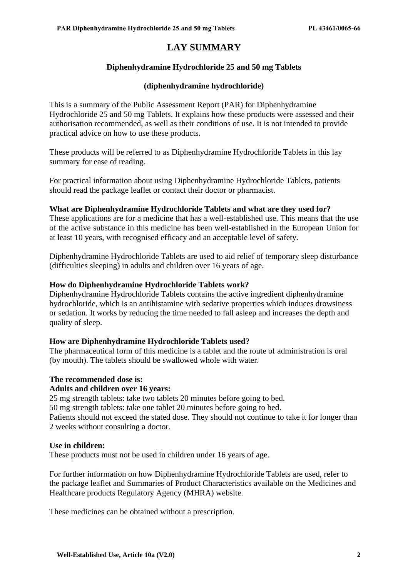### **LAY SUMMARY**

#### **Diphenhydramine Hydrochloride 25 and 50 mg Tablets**

#### **(diphenhydramine hydrochloride)**

This is a summary of the Public Assessment Report (PAR) for Diphenhydramine Hydrochloride 25 and 50 mg Tablets. It explains how these products were assessed and their authorisation recommended, as well as their conditions of use. It is not intended to provide practical advice on how to use these products.

These products will be referred to as Diphenhydramine Hydrochloride Tablets in this lay summary for ease of reading.

For practical information about using Diphenhydramine Hydrochloride Tablets, patients should read the package leaflet or contact their doctor or pharmacist.

#### **What are Diphenhydramine Hydrochloride Tablets and what are they used for?**

These applications are for a medicine that has a well-established use. This means that the use of the active substance in this medicine has been well-established in the European Union for at least 10 years, with recognised efficacy and an acceptable level of safety.

Diphenhydramine Hydrochloride Tablets are used to aid relief of temporary sleep disturbance (difficulties sleeping) in adults and children over 16 years of age.

#### **How do Diphenhydramine Hydrochloride Tablets work?**

Diphenhydramine Hydrochloride Tablets contains the active ingredient diphenhydramine hydrochloride, which is an antihistamine with sedative properties which induces drowsiness or sedation. It works by reducing the time needed to fall asleep and increases the depth and quality of sleep.

#### **How are Diphenhydramine Hydrochloride Tablets used?**

The pharmaceutical form of this medicine is a tablet and the route of administration is oral (by mouth). The tablets should be swallowed whole with water.

#### **The recommended dose is:**

#### **Adults and children over 16 years:**

25 mg strength tablets: take two tablets 20 minutes before going to bed.

50 mg strength tablets: take one tablet 20 minutes before going to bed.

Patients should not exceed the stated dose. They should not continue to take it for longer than 2 weeks without consulting a doctor.

#### **Use in children:**

These products must not be used in children under 16 years of age.

For further information on how Diphenhydramine Hydrochloride Tablets are used, refer to the package leaflet and Summaries of Product Characteristics available on the Medicines and Healthcare products Regulatory Agency (MHRA) website.

These medicines can be obtained without a prescription.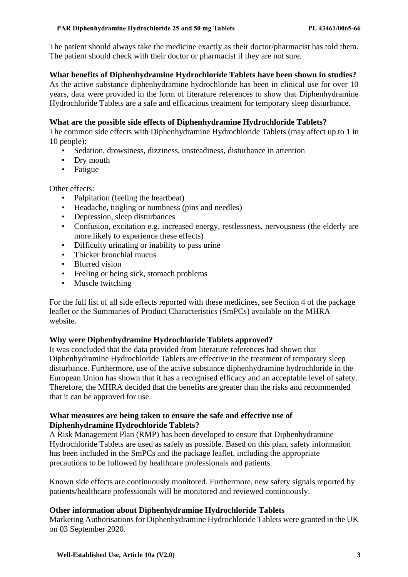The patient should always take the medicine exactly as their doctor/pharmacist has told them. The patient should check with their doctor or pharmacist if they are not sure.

#### **What benefits of Diphenhydramine Hydrochloride Tablets have been shown in studies?**

As the active substance diphenhydramine hydrochloride has been in clinical use for over 10 years, data were provided in the form of literature references to show that Diphenhydramine Hydrochloride Tablets are a safe and efficacious treatment for temporary sleep disturbance.

#### **What are the possible side effects of Diphenhydramine Hydrochloride Tablets?**

The common side effects with Diphenhydramine Hydrochloride Tablets (may affect up to 1 in 10 people):

- Sedation, drowsiness, dizziness, unsteadiness, disturbance in attention
- Drv mouth
- Fatigue

Other effects:

- Palpitation (feeling the heartbeat)
- Headache, tingling or numbness (pins and needles)
- Depression, sleep disturbances
- Confusion, excitation e.g. increased energy, restlessness, nervousness (the elderly are more likely to experience these effects)
- Difficulty urinating or inability to pass urine
- Thicker bronchial mucus
- Blurred vision
- Feeling or being sick, stomach problems
- Muscle twitching

For the full list of all side effects reported with these medicines, see Section 4 of the package leaflet or the Summaries of Product Characteristics (SmPCs) available on the MHRA website.

#### **Why were Diphenhydramine Hydrochloride Tablets approved?**

It was concluded that the data provided from literature references had shown that Diphenhydramine Hydrochloride Tablets are effective in the treatment of temporary sleep disturbance. Furthermore, use of the active substance diphenhydramine hydrochloride in the European Union has shown that it has a recognised efficacy and an acceptable level of safety. Therefore, the MHRA decided that the benefits are greater than the risks and recommended that it can be approved for use.

#### **What measures are being taken to ensure the safe and effective use of Diphenhydramine Hydrochloride Tablets?**

A Risk Management Plan (RMP) has been developed to ensure that Diphenhydramine Hydrochloride Tablets are used as safely as possible. Based on this plan, safety information has been included in the SmPCs and the package leaflet, including the appropriate precautions to be followed by healthcare professionals and patients.

Known side effects are continuously monitored. Furthermore, new safety signals reported by patients/healthcare professionals will be monitored and reviewed continuously.

#### **Other information about Diphenhydramine Hydrochloride Tablets**

Marketing Authorisations for Diphenhydramine Hydrochloride Tablets were granted in the UK on 03 September 2020.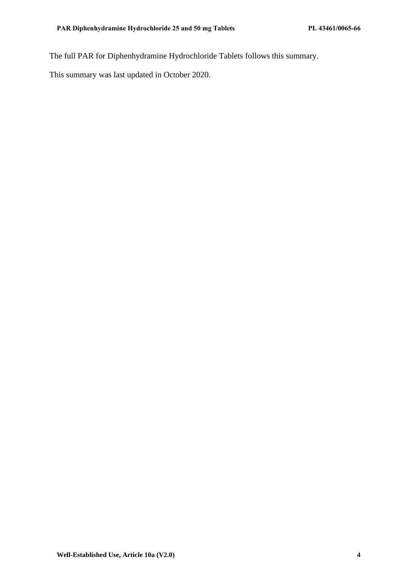The full PAR for Diphenhydramine Hydrochloride Tablets follows this summary.

This summary was last updated in October 2020.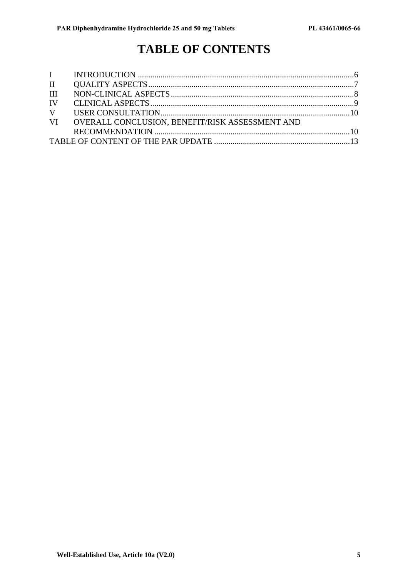### **TABLE OF CONTENTS**

| III |                                                    |  |
|-----|----------------------------------------------------|--|
|     |                                                    |  |
|     |                                                    |  |
|     | VI OVERALL CONCLUSION, BENEFIT/RISK ASSESSMENT AND |  |
|     |                                                    |  |
|     |                                                    |  |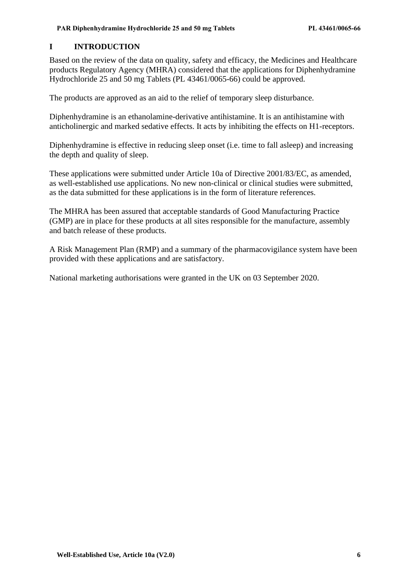#### <span id="page-5-0"></span>**I INTRODUCTION**

Based on the review of the data on quality, safety and efficacy, the Medicines and Healthcare products Regulatory Agency (MHRA) considered that the applications for Diphenhydramine Hydrochloride 25 and 50 mg Tablets (PL 43461/0065-66) could be approved.

The products are approved as an aid to the relief of temporary sleep disturbance.

Diphenhydramine is an ethanolamine-derivative antihistamine. It is an antihistamine with anticholinergic and marked sedative effects. It acts by inhibiting the effects on H1-receptors.

Diphenhydramine is effective in reducing sleep onset (i.e. time to fall asleep) and increasing the depth and quality of sleep.

These applications were submitted under Article 10a of Directive 2001/83/EC, as amended, as well-established use applications. No new non-clinical or clinical studies were submitted, as the data submitted for these applications is in the form of literature references.

The MHRA has been assured that acceptable standards of Good Manufacturing Practice (GMP) are in place for these products at all sites responsible for the manufacture, assembly and batch release of these products.

A Risk Management Plan (RMP) and a summary of the pharmacovigilance system have been provided with these applications and are satisfactory.

National marketing authorisations were granted in the UK on 03 September 2020.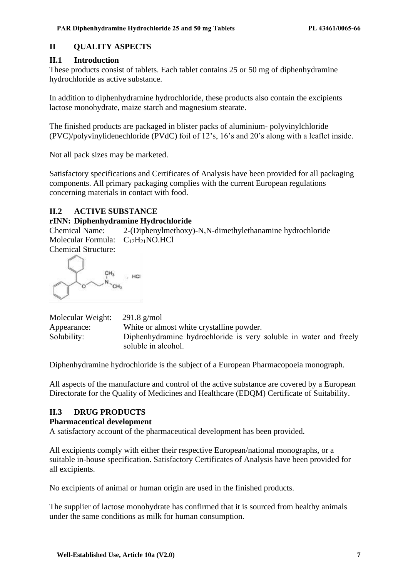#### <span id="page-6-0"></span>**II QUALITY ASPECTS**

#### **II.1 Introduction**

These products consist of tablets. Each tablet contains 25 or 50 mg of diphenhydramine hydrochloride as active substance.

In addition to diphenhydramine hydrochloride, these products also contain the excipients lactose monohydrate, maize starch and magnesium stearate.

The finished products are packaged in blister packs of aluminium- polyvinylchloride (PVC)/polyvinylidenechloride (PVdC) foil of 12's, 16's and 20's along with a leaflet inside.

Not all pack sizes may be marketed.

Satisfactory specifications and Certificates of Analysis have been provided for all packaging components. All primary packaging complies with the current European regulations concerning materials in contact with food.

#### **II.2 ACTIVE SUBSTANCE**

#### **rINN: Diphenhydramine Hydrochloride**

Chemical Name: 2-(Diphenylmethoxy)-N,N-dimethylethanamine hydrochloride Molecular Formula: C<sub>17</sub>H<sub>21</sub>NO.HCl Chemical Structure:

 $CH<sub>3</sub>$ HCI  $N_{\sim_{CH_3}}$ 

| Molecular Weight: | $291.8$ g/mol                                                     |
|-------------------|-------------------------------------------------------------------|
| Appearance:       | White or almost white crystalline powder.                         |
| Solubility:       | Diphenhydramine hydrochloride is very soluble in water and freely |
|                   | soluble in alcohol.                                               |

Diphenhydramine hydrochloride is the subject of a European Pharmacopoeia monograph.

All aspects of the manufacture and control of the active substance are covered by a European Directorate for the Quality of Medicines and Healthcare (EDQM) Certificate of Suitability.

#### **II.3 DRUG PRODUCTS**

#### **Pharmaceutical development**

A satisfactory account of the pharmaceutical development has been provided.

All excipients comply with either their respective European/national monographs, or a suitable in-house specification. Satisfactory Certificates of Analysis have been provided for all excipients.

No excipients of animal or human origin are used in the finished products.

The supplier of lactose monohydrate has confirmed that it is sourced from healthy animals under the same conditions as milk for human consumption.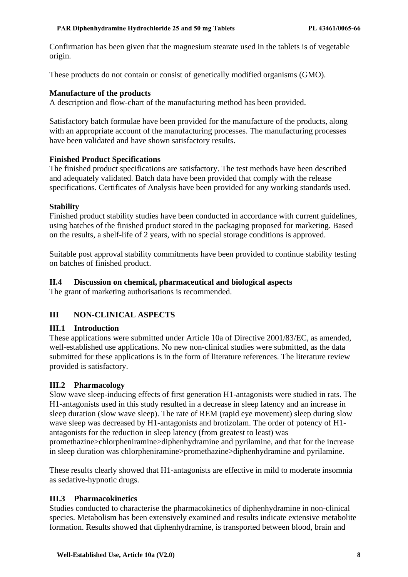Confirmation has been given that the magnesium stearate used in the tablets is of vegetable origin.

These products do not contain or consist of genetically modified organisms (GMO).

#### **Manufacture of the products**

A description and flow-chart of the manufacturing method has been provided.

Satisfactory batch formulae have been provided for the manufacture of the products, along with an appropriate account of the manufacturing processes. The manufacturing processes have been validated and have shown satisfactory results.

#### **Finished Product Specifications**

The finished product specifications are satisfactory. The test methods have been described and adequately validated. Batch data have been provided that comply with the release specifications. Certificates of Analysis have been provided for any working standards used.

#### **Stability**

Finished product stability studies have been conducted in accordance with current guidelines, using batches of the finished product stored in the packaging proposed for marketing. Based on the results, a shelf-life of 2 years, with no special storage conditions is approved.

Suitable post approval stability commitments have been provided to continue stability testing on batches of finished product.

#### **II.4 Discussion on chemical, pharmaceutical and biological aspects**

The grant of marketing authorisations is recommended.

#### <span id="page-7-0"></span>**III NON-CLINICAL ASPECTS**

#### **III.1 Introduction**

These applications were submitted under Article 10a of Directive 2001/83/EC, as amended, well-established use applications. No new non-clinical studies were submitted, as the data submitted for these applications is in the form of literature references. The literature review provided is satisfactory.

#### **III.2 Pharmacology**

Slow wave sleep-inducing effects of first generation H1-antagonists were studied in rats. The H1-antagonists used in this study resulted in a decrease in sleep latency and an increase in sleep duration (slow wave sleep). The rate of REM (rapid eye movement) sleep during slow wave sleep was decreased by H1-antagonists and brotizolam. The order of potency of H1 antagonists for the reduction in sleep latency (from greatest to least) was promethazine>chlorpheniramine>diphenhydramine and pyrilamine, and that for the increase in sleep duration was chlorpheniramine>promethazine>diphenhydramine and pyrilamine.

These results clearly showed that H1-antagonists are effective in mild to moderate insomnia as sedative-hypnotic drugs.

#### **III.3 Pharmacokinetics**

Studies conducted to characterise the pharmacokinetics of diphenhydramine in non-clinical species. Metabolism has been extensively examined and results indicate extensive metabolite formation. Results showed that diphenhydramine, is transported between blood, brain and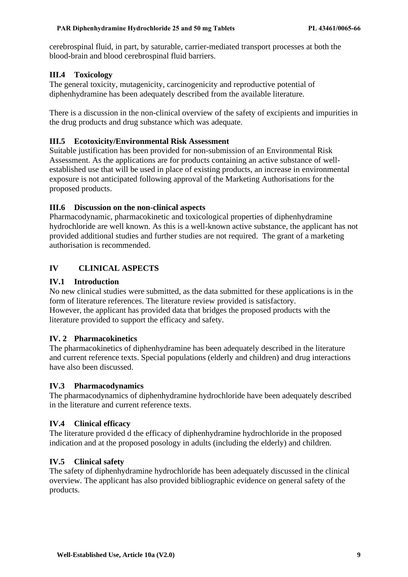cerebrospinal fluid, in part, by saturable, carrier-mediated transport processes at both the blood-brain and blood cerebrospinal fluid barriers.

#### **III.4 Toxicology**

The general toxicity, mutagenicity, carcinogenicity and reproductive potential of diphenhydramine has been adequately described from the available literature.

There is a discussion in the non-clinical overview of the safety of excipients and impurities in the drug products and drug substance which was adequate.

#### **III.5 Ecotoxicity/Environmental Risk Assessment**

Suitable justification has been provided for non-submission of an Environmental Risk Assessment. As the applications are for products containing an active substance of wellestablished use that will be used in place of existing products, an increase in environmental exposure is not anticipated following approval of the Marketing Authorisations for the proposed products.

#### **III.6 Discussion on the non-clinical aspects**

Pharmacodynamic, pharmacokinetic and toxicological properties of diphenhydramine hydrochloride are well known. As this is a well-known active substance, the applicant has not provided additional studies and further studies are not required. The grant of a marketing authorisation is recommended.

#### <span id="page-8-0"></span>**IV CLINICAL ASPECTS**

#### **IV.1 Introduction**

No new clinical studies were submitted, as the data submitted for these applications is in the form of literature references. The literature review provided is satisfactory. However, the applicant has provided data that bridges the proposed products with the literature provided to support the efficacy and safety.

#### **IV. 2 Pharmacokinetics**

The pharmacokinetics of diphenhydramine has been adequately described in the literature and current reference texts. Special populations (elderly and children) and drug interactions have also been discussed.

#### **IV.3 Pharmacodynamics**

The pharmacodynamics of diphenhydramine hydrochloride have been adequately described in the literature and current reference texts.

#### **IV.4 Clinical efficacy**

The literature provided d the efficacy of diphenhydramine hydrochloride in the proposed indication and at the proposed posology in adults (including the elderly) and children.

#### **IV.5 Clinical safety**

The safety of diphenhydramine hydrochloride has been adequately discussed in the clinical overview. The applicant has also provided bibliographic evidence on general safety of the products.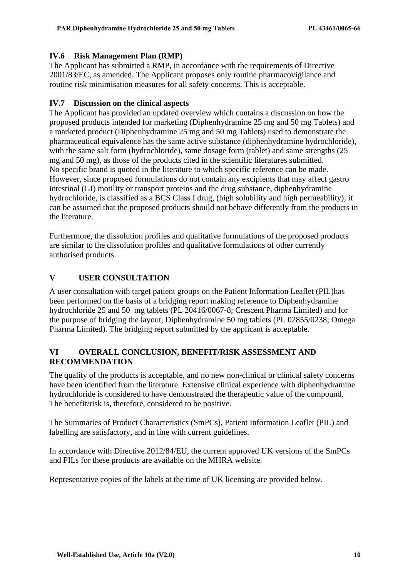#### **IV.6 Risk Management Plan (RMP)**

The Applicant has submitted a RMP, in accordance with the requirements of Directive 2001/83/EC, as amended. The Applicant proposes only routine pharmacovigilance and routine risk minimisation measures for all safety concerns. This is acceptable.

#### **IV.7 Discussion on the clinical aspects**

<span id="page-9-0"></span>The Applicant has provided an updated overview which contains a discussion on how the proposed products intended for marketing (Diphenhydramine 25 mg and 50 mg Tablets) and a marketed product (Diphenhydramine 25 mg and 50 mg Tablets) used to demonstrate the pharmaceutical equivalence has the same active substance (diphenhydramine hydrochloride), with the same salt form (hydrochloride), same dosage form (tablet) and same strengths (25 mg and 50 mg), as those of the products cited in the scientific literatures submitted. No specific brand is quoted in the literature to which specific reference can be made. However, since proposed formulations do not contain any excipients that may affect gastro intestinal (GI) motility or transport proteins and the drug substance, diphenhydramine hydrochloride, is classified as a BCS Class I drug, (high solubility and high permeability), it can be assumed that the proposed products should not behave differently from the products in the literature.

Furthermore, the dissolution profiles and qualitative formulations of the proposed products are similar to the dissolution profiles and qualitative formulations of other currently authorised products.

#### **V USER CONSULTATION**

A user consultation with target patient groups on the Patient Information Leaflet (PIL)has been performed on the basis of a bridging report making reference to Diphenhydramine hydrochloride 25 and 50 mg tablets (PL 20416/0067-8; Crescent Pharma Limited) and for the purpose of bridging the layout, Diphenhydramine 50 mg tablets (PL 02855/0238; Omega Pharma Limited). The bridging report submitted by the applicant is acceptable.

#### <span id="page-9-1"></span>**VI OVERALL CONCLUSION, BENEFIT/RISK ASSESSMENT AND RECOMMENDATION**

The quality of the products is acceptable, and no new non-clinical or clinical safety concerns have been identified from the literature. Extensive clinical experience with diphenhydramine hydrochloride is considered to have demonstrated the therapeutic value of the compound. The benefit/risk is, therefore, considered to be positive.

The Summaries of Product Characteristics (SmPCs), Patient Information Leaflet (PIL) and labelling are satisfactory, and in line with current guidelines.

In accordance with Directive 2012/84/EU, the current approved UK versions of the SmPCs and PILs for these products are available on the MHRA website.

Representative copies of the labels at the time of UK licensing are provided below.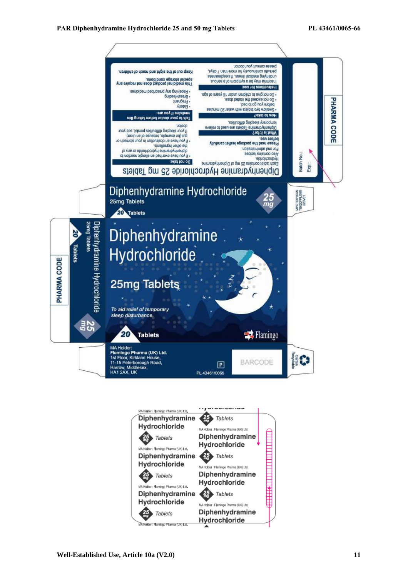

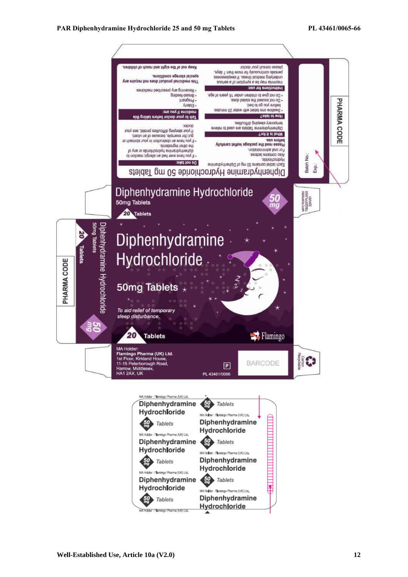<span id="page-11-0"></span>